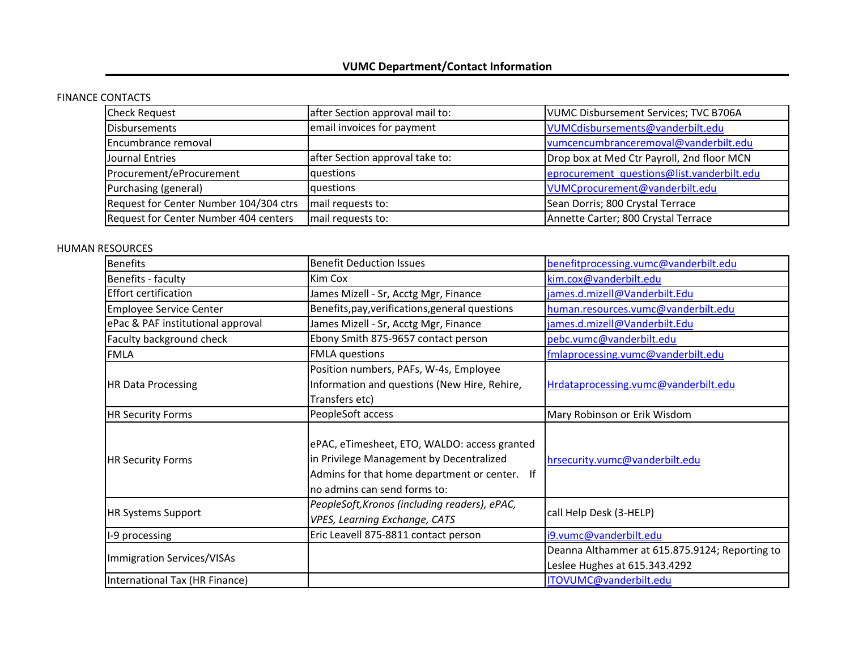## FINANCE CONTACTS

| <b>Check Request</b>                   | after Section approval mail to: | <b>VUMC Disbursement Services; TVC B706A</b> |
|----------------------------------------|---------------------------------|----------------------------------------------|
| <b>Disbursements</b>                   | email invoices for payment      | VUMCdisbursements@vanderbilt.edu             |
| Encumbrance removal                    |                                 | vumcencumbranceremoval@vanderbilt.edu        |
| Journal Entries                        | after Section approval take to: | Drop box at Med Ctr Payroll, 2nd floor MCN   |
| Procurement/eProcurement               | questions                       | eprocurement_questions@list.vanderbilt.edu   |
| Purchasing (general)                   | questions                       | VUMCprocurement@vanderbilt.edu               |
| Request for Center Number 104/304 ctrs | mail requests to:               | Sean Dorris; 800 Crystal Terrace             |
| Request for Center Number 404 centers  | mail requests to:               | Annette Carter; 800 Crystal Terrace          |

## HUMAN RESOURCES

| <b>Benefits</b>                   | <b>Benefit Deduction Issues</b>                                                                                                                                           | benefitprocessing.vumc@vanderbilt.edu          |
|-----------------------------------|---------------------------------------------------------------------------------------------------------------------------------------------------------------------------|------------------------------------------------|
| Benefits - faculty                | Kim Cox                                                                                                                                                                   | kim.cox@vanderbilt.edu                         |
| Effort certification              | James Mizell - Sr, Acctg Mgr, Finance                                                                                                                                     | james.d.mizell@Vanderbilt.Edu                  |
| <b>Employee Service Center</b>    | Benefits, pay, verifications, general questions                                                                                                                           | human.resources.vumc@vanderbilt.edu            |
| ePac & PAF institutional approval | James Mizell - Sr, Acctg Mgr, Finance                                                                                                                                     | james.d.mizell@Vanderbilt.Edu                  |
| Faculty background check          | Ebony Smith 875-9657 contact person                                                                                                                                       | pebc.vumc@vanderbilt.edu                       |
| <b>FMLA</b>                       | <b>FMLA</b> questions                                                                                                                                                     | fmlaprocessing.vumc@vanderbilt.edu             |
| <b>HR Data Processing</b>         | Position numbers, PAFs, W-4s, Employee                                                                                                                                    |                                                |
|                                   | Information and questions (New Hire, Rehire,                                                                                                                              | Hrdataprocessing.vumc@vanderbilt.edu           |
|                                   | Transfers etc)                                                                                                                                                            |                                                |
| <b>HR Security Forms</b>          | PeopleSoft access                                                                                                                                                         | Mary Robinson or Erik Wisdom                   |
| <b>HR Security Forms</b>          | ePAC, eTimesheet, ETO, WALDO: access granted<br>in Privilege Management by Decentralized<br>Admins for that home department or center. If<br>no admins can send forms to: | hrsecurity.vumc@vanderbilt.edu                 |
| <b>HR Systems Support</b>         | PeopleSoft, Kronos (including readers), ePAC,<br>VPES, Learning Exchange, CATS                                                                                            | call Help Desk (3-HELP)                        |
| I-9 processing                    | Eric Leavell 875-8811 contact person                                                                                                                                      | i9.vumc@vanderbilt.edu                         |
| Immigration Services/VISAs        |                                                                                                                                                                           | Deanna Althammer at 615.875.9124; Reporting to |
|                                   |                                                                                                                                                                           | Leslee Hughes at 615.343.4292                  |
| International Tax (HR Finance)    |                                                                                                                                                                           | ITOVUMC@vanderbilt.edu                         |